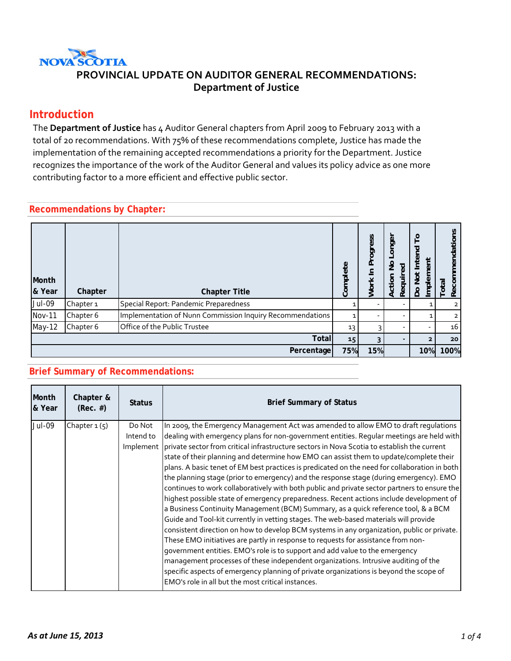

#### **Introduction**

The **Department of Justice** has 4 Auditor General chapters from April 2009 to February 2013 with a total of 20 recommendations. With 75% of these recommendations complete, Justice has made the implementation of the remaining accepted recommendations a priority for the Department. Justice recognizes the importance of the work of the Auditor General and values its policy advice as one more contributing factor to a more efficient and effective public sector.

#### **Recommendations by Chapter:**

| Month<br>& Year | Chapter              | <b>Chapter Title</b>                                      | Complete        | Progress<br>$\overline{\phantom{0}}$<br><b>Work</b> | Longer<br>$\frac{1}{2}$<br>ි<br>Requir<br>Action | $\circ$<br>g<br>Inte<br>န<br>lmplem<br>ğ<br>೭ | č<br>ndation<br>ē<br>Recorr<br>Total |
|-----------------|----------------------|-----------------------------------------------------------|-----------------|-----------------------------------------------------|--------------------------------------------------|-----------------------------------------------|--------------------------------------|
| Jul-09          | Chapter <sub>1</sub> | Special Report: Pandemic Preparedness                     |                 |                                                     |                                                  |                                               |                                      |
| <b>Nov-11</b>   | Chapter 6            | Implementation of Nunn Commission Inquiry Recommendations |                 | ۰                                                   |                                                  |                                               | $\overline{2}$                       |
| May-12          | Chapter 6            | Office of the Public Trustee                              | 13              | 3                                                   |                                                  |                                               | 16                                   |
|                 |                      | <b>Total</b>                                              | 15 <sub>1</sub> | 3                                                   |                                                  |                                               | 20                                   |
|                 |                      | Percentage                                                | 75%             | 15%                                                 |                                                  | 10%                                           | 100%                                 |

#### **Brief Summary of Recommendations:**

| Month<br>& Year | Chapter &<br>$(Rec. \#)$ | <b>Status</b>       | <b>Brief Summary of Status</b>                                                                                                                                                                                                                                                                                                                                                                                                                                                                                                                                                                                                                                                                                                                                                                                                                                                                                                                                                                                                                                                                                                                                                                                                                                                                                                                                                                                                                                  |
|-----------------|--------------------------|---------------------|-----------------------------------------------------------------------------------------------------------------------------------------------------------------------------------------------------------------------------------------------------------------------------------------------------------------------------------------------------------------------------------------------------------------------------------------------------------------------------------------------------------------------------------------------------------------------------------------------------------------------------------------------------------------------------------------------------------------------------------------------------------------------------------------------------------------------------------------------------------------------------------------------------------------------------------------------------------------------------------------------------------------------------------------------------------------------------------------------------------------------------------------------------------------------------------------------------------------------------------------------------------------------------------------------------------------------------------------------------------------------------------------------------------------------------------------------------------------|
| Jul-09          | Chapter $1(5)$           | Do Not<br>Intend to | In 2009, the Emergency Management Act was amended to allow EMO to draft regulations<br>dealing with emergency plans for non-government entities. Regular meetings are held with<br>Implement private sector from critical infrastructure sectors in Nova Scotia to establish the current<br>state of their planning and determine how EMO can assist them to update/complete their<br>plans. A basic tenet of EM best practices is predicated on the need for collaboration in both<br>the planning stage (prior to emergency) and the response stage (during emergency). EMO<br>continues to work collaboratively with both public and private sector partners to ensure the<br>highest possible state of emergency preparedness. Recent actions include development of<br>a Business Continuity Management (BCM) Summary, as a quick reference tool, & a BCM<br>Guide and Tool-kit currently in vetting stages. The web-based materials will provide<br>consistent direction on how to develop BCM systems in any organization, public or private.<br>These EMO initiatives are partly in response to requests for assistance from non-<br>government entities. EMO's role is to support and add value to the emergency<br>management processes of these independent organizations. Intrusive auditing of the<br>specific aspects of emergency planning of private organizations is beyond the scope of<br>EMO's role in all but the most critical instances. |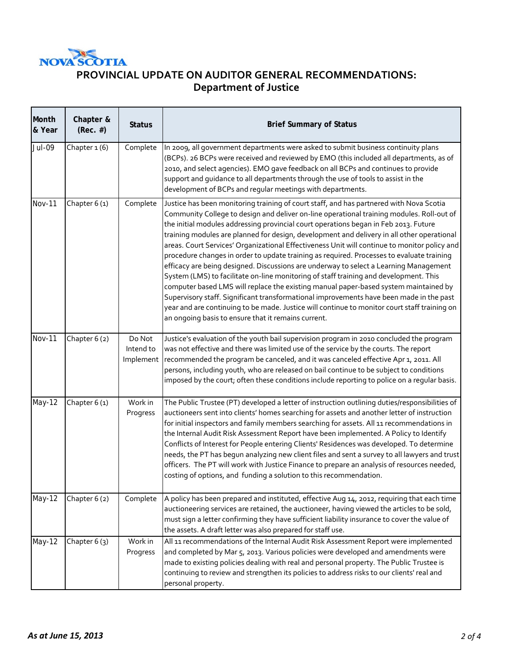

г

# **PROVINCIAL UPDATE ON AUDITOR GENERAL RECOMMENDATIONS: Department of Justice**

| Month<br>& Year | Chapter &<br>$(Rec. \#)$ | <b>Status</b>                    | <b>Brief Summary of Status</b>                                                                                                                                                                                                                                                                                                                                                                                                                                                                                                                                                                                                                                                                                                                                                                                                                                                                                                                                                                                                                                                                      |  |
|-----------------|--------------------------|----------------------------------|-----------------------------------------------------------------------------------------------------------------------------------------------------------------------------------------------------------------------------------------------------------------------------------------------------------------------------------------------------------------------------------------------------------------------------------------------------------------------------------------------------------------------------------------------------------------------------------------------------------------------------------------------------------------------------------------------------------------------------------------------------------------------------------------------------------------------------------------------------------------------------------------------------------------------------------------------------------------------------------------------------------------------------------------------------------------------------------------------------|--|
| <b>Jul-09</b>   | Chapter 1(6)             | Complete                         | In 2009, all government departments were asked to submit business continuity plans<br>(BCPs). 26 BCPs were received and reviewed by EMO (this included all departments, as of<br>2010, and select agencies). EMO gave feedback on all BCPs and continues to provide<br>support and guidance to all departments through the use of tools to assist in the<br>development of BCPs and regular meetings with departments.                                                                                                                                                                                                                                                                                                                                                                                                                                                                                                                                                                                                                                                                              |  |
| <b>Nov-11</b>   | Chapter 6(1)             | Complete                         | Justice has been monitoring training of court staff, and has partnered with Nova Scotia<br>Community College to design and deliver on-line operational training modules. Roll-out of<br>the initial modules addressing provincial court operations began in Feb 2013. Future<br>training modules are planned for design, development and delivery in all other operational<br>areas. Court Services' Organizational Effectiveness Unit will continue to monitor policy and<br>procedure changes in order to update training as required. Processes to evaluate training<br>efficacy are being designed. Discussions are underway to select a Learning Management<br>System (LMS) to facilitate on-line monitoring of staff training and development. This<br>computer based LMS will replace the existing manual paper-based system maintained by<br>Supervisory staff. Significant transformational improvements have been made in the past<br>year and are continuing to be made. Justice will continue to monitor court staff training on<br>an ongoing basis to ensure that it remains current. |  |
| <b>Nov-11</b>   | Chapter 6 (2)            | Do Not<br>Intend to<br>Implement | Justice's evaluation of the youth bail supervision program in 2010 concluded the program<br>was not effective and there was limited use of the service by the courts. The report<br>recommended the program be canceled, and it was canceled effective Apr 1, 2011. All<br>persons, including youth, who are released on bail continue to be subject to conditions<br>imposed by the court; often these conditions include reporting to police on a regular basis.                                                                                                                                                                                                                                                                                                                                                                                                                                                                                                                                                                                                                                  |  |
| May-12          | Chapter 6(1)             | Work in<br>Progress              | The Public Trustee (PT) developed a letter of instruction outlining duties/responsibilities of<br>auctioneers sent into clients' homes searching for assets and another letter of instruction<br>for initial inspectors and family members searching for assets. All 11 recommendations in<br>the Internal Audit Risk Assessment Report have been implemented. A Policy to Identify<br>Conflicts of Interest for People entering Clients' Residences was developed. To determine<br>needs, the PT has begun analyzing new client files and sent a survey to all lawyers and trust<br>officers. The PT will work with Justice Finance to prepare an analysis of resources needed,<br>costing of options, and funding a solution to this recommendation.                                                                                                                                                                                                                                                                                                                                              |  |
| May-12          | Chapter 6(2)             | Complete                         | A policy has been prepared and instituted, effective Aug 14, 2012, requiring that each time<br>auctioneering services are retained, the auctioneer, having viewed the articles to be sold,<br>must sign a letter confirming they have sufficient liability insurance to cover the value of<br>the assets. A draft letter was also prepared for staff use.                                                                                                                                                                                                                                                                                                                                                                                                                                                                                                                                                                                                                                                                                                                                           |  |
| May-12          | Chapter $6(3)$           | Work in<br>Progress              | All 11 recommendations of the Internal Audit Risk Assessment Report were implemented<br>and completed by Mar 5, 2013. Various policies were developed and amendments were<br>made to existing policies dealing with real and personal property. The Public Trustee is<br>continuing to review and strengthen its policies to address risks to our clients' real and<br>personal property.                                                                                                                                                                                                                                                                                                                                                                                                                                                                                                                                                                                                                                                                                                           |  |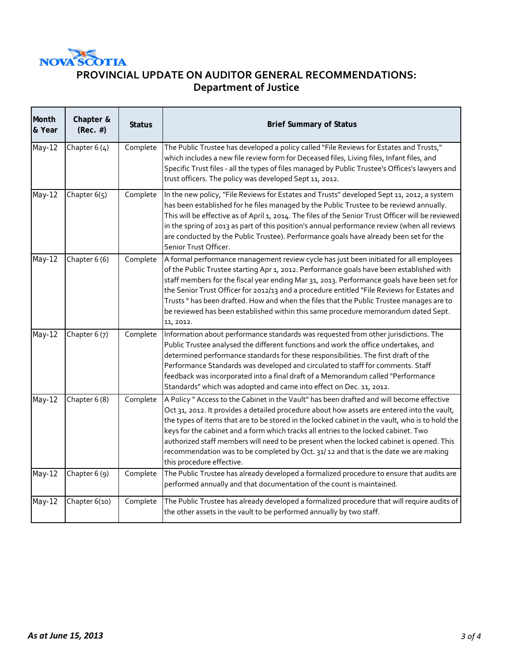

# **PROVINCIAL UPDATE ON AUDITOR GENERAL RECOMMENDATIONS: Department of Justice**

| Month<br>& Year | Chapter &<br>$(Rec. \#)$ | <b>Status</b> | <b>Brief Summary of Status</b>                                                                                                                                                                                                                                                                                                                                                                                                                                                                                                                                                                     |
|-----------------|--------------------------|---------------|----------------------------------------------------------------------------------------------------------------------------------------------------------------------------------------------------------------------------------------------------------------------------------------------------------------------------------------------------------------------------------------------------------------------------------------------------------------------------------------------------------------------------------------------------------------------------------------------------|
| May-12          | Chapter $6(4)$           | Complete      | The Public Trustee has developed a policy called "File Reviews for Estates and Trusts,"<br>which includes a new file review form for Deceased files, Living files, Infant files, and<br>Specific Trust files - all the types of files managed by Public Trustee's Offices's lawyers and<br>trust officers. The policy was developed Sept 11, 2012.                                                                                                                                                                                                                                                 |
| <b>May-12</b>   | Chapter 6(5)             | Complete      | In the new policy, "File Reviews for Estates and Trusts" developed Sept 11, 2012, a system<br>has been established for he files managed by the Public Trustee to be reviewd annually.<br>This will be effective as of April 1, 2014. The files of the Senior Trust Officer will be reviewed<br>in the spring of 2013 as part of this position's annual performance review (when all reviews<br>are conducted by the Public Trustee). Performance goals have already been set for the<br>Senior Trust Officer.                                                                                      |
| May-12          | Chapter 6 (6)            | Complete      | A formal performance management review cycle has just been initiated for all employees<br>of the Public Trustee starting Apr 1, 2012. Performance goals have been established with<br>staff members for the fiscal year ending Mar 31, 2013. Performance goals have been set for<br>the Senior Trust Officer for 2012/13 and a procedure entitled "File Reviews for Estates and<br>Trusts " has been drafted. How and when the files that the Public Trustee manages are to<br>be reviewed has been established within this same procedure memorandum dated Sept.<br>11, 2012.                     |
| <b>May-12</b>   | Chapter 6 (7)            | Complete      | Information about performance standards was requested from other jurisdictions. The<br>Public Trustee analysed the different functions and work the office undertakes, and<br>determined performance standards for these responsibilities. The first draft of the<br>Performance Standards was developed and circulated to staff for comments. Staff<br>feedback was incorporated into a final draft of a Memorandum called "Performance<br>Standards" which was adopted and came into effect on Dec. 11, 2012.                                                                                    |
| May-12          | Chapter 6 (8)            | Complete      | A Policy " Access to the Cabinet in the Vault" has been drafted and will become effective<br>Oct 31, 2012. It provides a detailed procedure about how assets are entered into the vault,<br>the types of items that are to be stored in the locked cabinet in the vault, who is to hold the<br>keys for the cabinet and a form which tracks all entries to the locked cabinet. Two<br>authorized staff members will need to be present when the locked cabinet is opened. This<br>recommendation was to be completed by Oct. 31/12 and that is the date we are making<br>this procedure effective. |
| May-12          | Chapter 6 (9)            | Complete      | The Public Trustee has already developed a formalized procedure to ensure that audits are<br>performed annually and that documentation of the count is maintained.                                                                                                                                                                                                                                                                                                                                                                                                                                 |
| <b>May-12</b>   | Chapter 6(10)            | Complete      | The Public Trustee has already developed a formalized procedure that will require audits of<br>the other assets in the vault to be performed annually by two staff.                                                                                                                                                                                                                                                                                                                                                                                                                                |